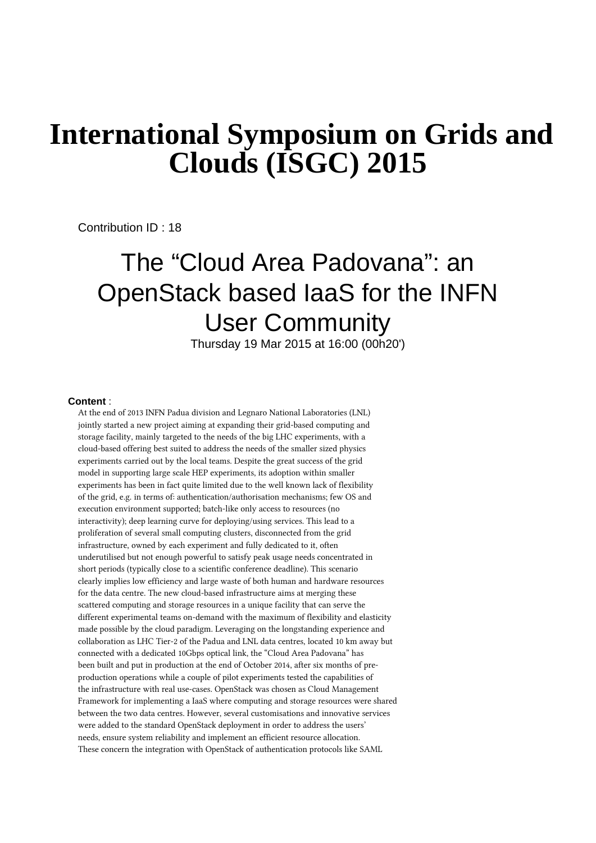## **International Symposium on Grids and Clouds (ISGC) 2015**

Contribution ID : 18

## The "Cloud Area Padovana": an OpenStack based IaaS for the INFN User Community

Thursday 19 Mar 2015 at 16:00 (00h20')

## **Content** :

At the end of 2013 INFN Padua division and Legnaro National Laboratories (LNL) jointly started a new project aiming at expanding their grid-based computing and storage facility, mainly targeted to the needs of the big LHC experiments, with a cloud-based offering best suited to address the needs of the smaller sized physics experiments carried out by the local teams. Despite the great success of the grid model in supporting large scale HEP experiments, its adoption within smaller experiments has been in fact quite limited due to the well known lack of flexibility of the grid, e.g. in terms of: authentication/authorisation mechanisms; few OS and execution environment supported; batch-like only access to resources (no interactivity); deep learning curve for deploying/using services. This lead to a proliferation of several small computing clusters, disconnected from the grid infrastructure, owned by each experiment and fully dedicated to it, often underutilised but not enough powerful to satisfy peak usage needs concentrated in short periods (typically close to a scientific conference deadline). This scenario clearly implies low efficiency and large waste of both human and hardware resources for the data centre. The new cloud-based infrastructure aims at merging these scattered computing and storage resources in a unique facility that can serve the different experimental teams on-demand with the maximum of flexibility and elasticity made possible by the cloud paradigm. Leveraging on the longstanding experience and collaboration as LHC Tier-2 of the Padua and LNL data centres, located 10 km away but connected with a dedicated 10Gbps optical link, the "Cloud Area Padovana" has been built and put in production at the end of October 2014, after six months of preproduction operations while a couple of pilot experiments tested the capabilities of the infrastructure with real use-cases. OpenStack was chosen as Cloud Management Framework for implementing a IaaS where computing and storage resources were shared between the two data centres. However, several customisations and innovative services were added to the standard OpenStack deployment in order to address the users' needs, ensure system reliability and implement an efficient resource allocation. These concern the integration with OpenStack of authentication protocols like SAML